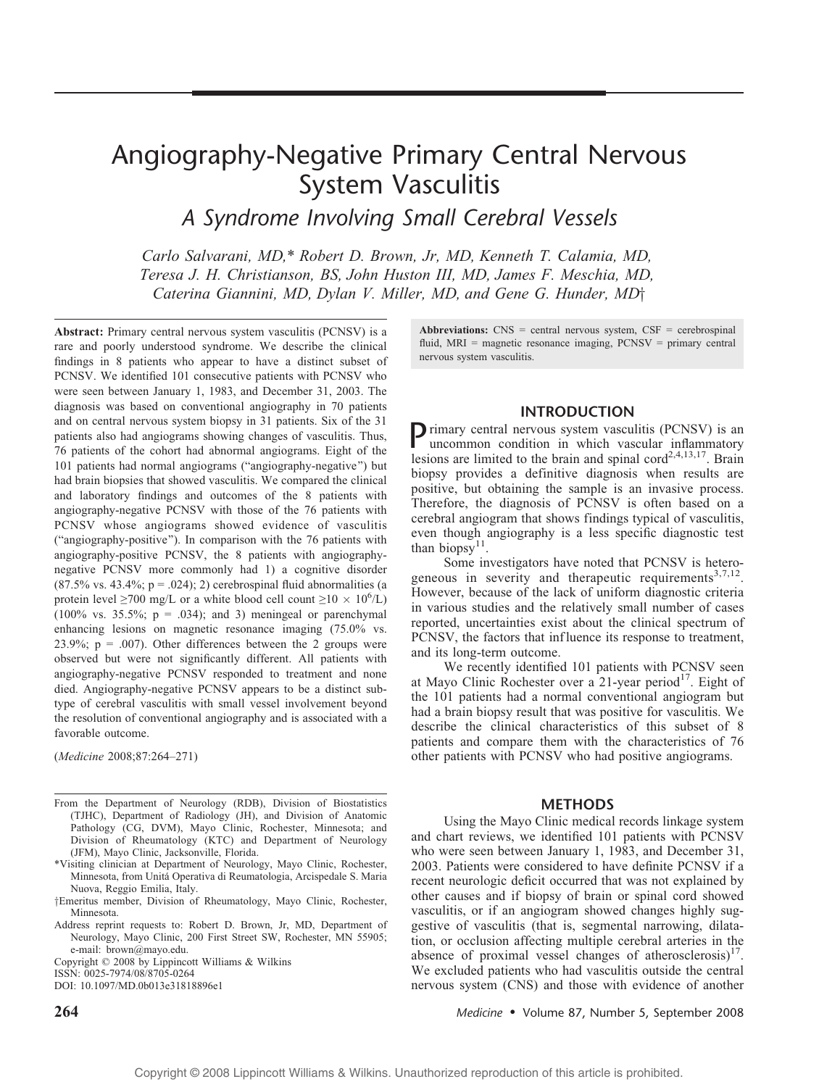# Angiography-Negative Primary Central Nervous System Vasculitis

A Syndrome Involving Small Cerebral Vessels

Carlo Salvarani, MD,\* Robert D. Brown, Jr, MD, Kenneth T. Calamia, MD, Teresa J. H. Christianson, BS, John Huston III, MD, James F. Meschia, MD, Caterina Giannini, MD, Dylan V. Miller, MD, and Gene G. Hunder, MD $\dagger$ 

Abstract: Primary central nervous system vasculitis (PCNSV) is a rare and poorly understood syndrome. We describe the clinical findings in 8 patients who appear to have a distinct subset of PCNSV. We identified 101 consecutive patients with PCNSV who were seen between January 1, 1983, and December 31, 2003. The diagnosis was based on conventional angiography in 70 patients and on central nervous system biopsy in 31 patients. Six of the 31 patients also had angiograms showing changes of vasculitis. Thus, 76 patients of the cohort had abnormal angiograms. Eight of the 101 patients had normal angiograms ("angiography-negative") but had brain biopsies that showed vasculitis. We compared the clinical and laboratory findings and outcomes of the 8 patients with angiography-negative PCNSV with those of the 76 patients with PCNSV whose angiograms showed evidence of vasculitis ("angiography-positive"). In comparison with the 76 patients with angiography-positive PCNSV, the 8 patients with angiographynegative PCNSV more commonly had 1) a cognitive disorder  $(87.5\% \text{ vs. } 43.4\%; p = .024); 2)$  cerebrospinal fluid abnormalities (a protein level  $\geq 700$  mg/L or a white blood cell count  $\geq 10 \times 10^6$ /L) (100% vs. 35.5%;  $p = .034$ ); and 3) meningeal or parenchymal enhancing lesions on magnetic resonance imaging (75.0% vs. 23.9%;  $p = .007$ ). Other differences between the 2 groups were observed but were not significantly different. All patients with angiography-negative PCNSV responded to treatment and none died. Angiography-negative PCNSV appears to be a distinct subtype of cerebral vasculitis with small vessel involvement beyond the resolution of conventional angiography and is associated with a favorable outcome.

(Medicine 2008;87:264-271)

- From the Department of Neurology (RDB), Division of Biostatistics (TJHC), Department of Radiology (JH), and Division of Anatomic Pathology (CG, DVM), Mayo Clinic, Rochester, Minnesota; and Division of Rheumatology (KTC) and Department of Neurology (JFM), Mayo Clinic, Jacksonville, Florida.
- \*Visiting clinician at Department of Neurology, Mayo Clinic, Rochester, Minnesota, from Unita´ Operativa di Reumatologia, Arcispedale S. Maria Nuova, Reggio Emilia, Italy.
- †Emeritus member, Division of Rheumatology, Mayo Clinic, Rochester, Minnesota.
- Address reprint requests to: Robert D. Brown, Jr, MD, Department of Neurology, Mayo Clinic, 200 First Street SW, Rochester, MN 55905; e-mail: brown@mayo.edu.

Copyright  $©$  2008 by Lippincott Williams & Wilkins

DOI: 10.1097/MD.0b013e31818896e1

Abbreviations:  $CNS =$  central nervous system,  $CSF =$  cerebrospinal fluid, MRI = magnetic resonance imaging, PCNSV = primary central nervous system vasculitis.

### INTRODUCTION

Primary central nervous system vasculitis (PCNSV) is an uncommon condition in which vascular inflammatory lesions are limited to the brain and spinal cord<sup>2,4,13,17</sup>. Brain biopsy provides a definitive diagnosis when results are positive, but obtaining the sample is an invasive process. Therefore, the diagnosis of PCNSV is often based on a cerebral angiogram that shows findings typical of vasculitis, even though angiography is a less specific diagnostic test than biopsy<sup>11</sup>.

Some investigators have noted that PCNSV is heterogeneous in severity and therapeutic requirements<sup>3,7,12</sup>. However, because of the lack of uniform diagnostic criteria in various studies and the relatively small number of cases reported, uncertainties exist about the clinical spectrum of PCNSV, the factors that inf luence its response to treatment, and its long-term outcome.

We recently identified 101 patients with PCNSV seen at Mayo Clinic Rochester over a 21-year period<sup>17</sup>. Eight of the 101 patients had a normal conventional angiogram but had a brain biopsy result that was positive for vasculitis. We describe the clinical characteristics of this subset of 8 patients and compare them with the characteristics of 76 other patients with PCNSV who had positive angiograms.

#### METHODS

Using the Mayo Clinic medical records linkage system and chart reviews, we identified 101 patients with PCNSV who were seen between January 1, 1983, and December 31, 2003. Patients were considered to have definite PCNSV if a recent neurologic deficit occurred that was not explained by other causes and if biopsy of brain or spinal cord showed vasculitis, or if an angiogram showed changes highly suggestive of vasculitis (that is, segmental narrowing, dilatation, or occlusion affecting multiple cerebral arteries in the absence of proximal vessel changes of atherosclerosis) $17$ . We excluded patients who had vasculitis outside the central nervous system (CNS) and those with evidence of another

 $264$  Medicine  $\bullet$  Volume 87, Number 5, September 2008

ISSN: 0025-7974/08/8705-0264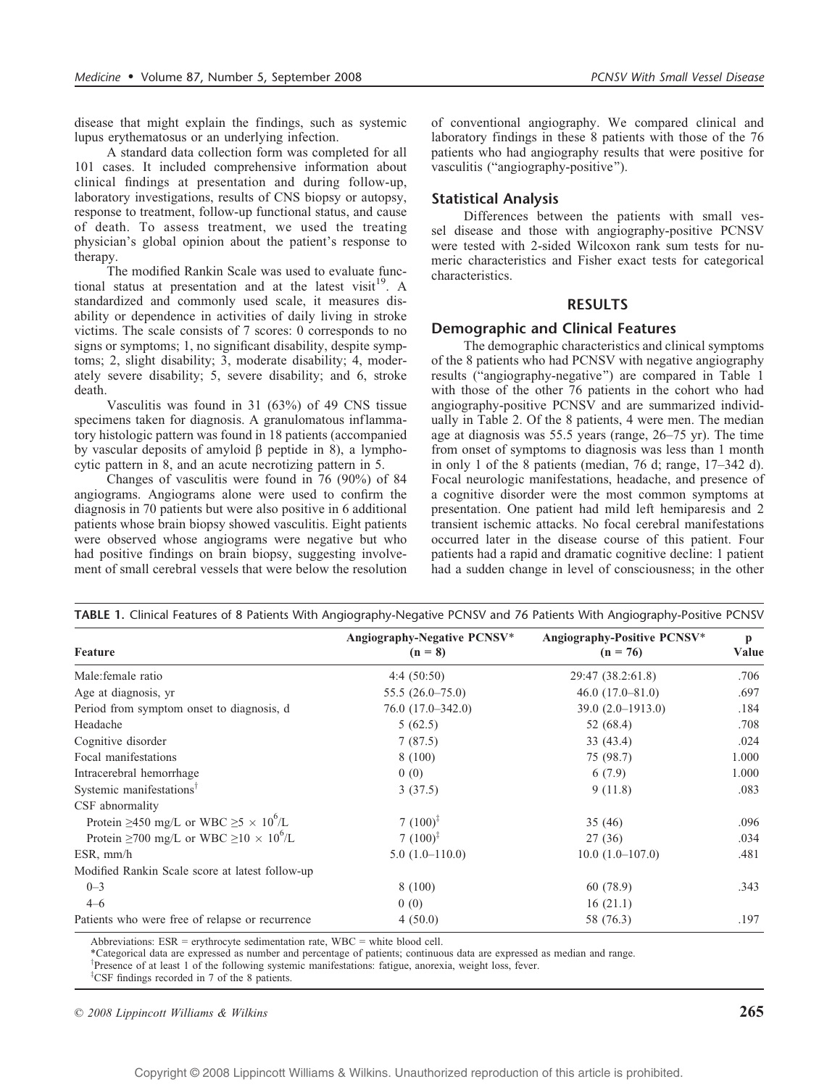disease that might explain the findings, such as systemic lupus erythematosus or an underlying infection.

A standard data collection form was completed for all 101 cases. It included comprehensive information about clinical findings at presentation and during follow-up, laboratory investigations, results of CNS biopsy or autopsy, response to treatment, follow-up functional status, and cause of death. To assess treatment, we used the treating physician's global opinion about the patient's response to therapy.

The modified Rankin Scale was used to evaluate functional status at presentation and at the latest visit<sup>19</sup>. A standardized and commonly used scale, it measures disability or dependence in activities of daily living in stroke victims. The scale consists of 7 scores: 0 corresponds to no signs or symptoms; 1, no significant disability, despite symptoms; 2, slight disability; 3, moderate disability; 4, moderately severe disability; 5, severe disability; and 6, stroke death.

Vasculitis was found in 31 (63%) of 49 CNS tissue specimens taken for diagnosis. A granulomatous inflammatory histologic pattern was found in 18 patients (accompanied by vascular deposits of amyloid  $\beta$  peptide in 8), a lymphocytic pattern in 8, and an acute necrotizing pattern in 5.

Changes of vasculitis were found in 76 (90%) of 84 angiograms. Angiograms alone were used to confirm the diagnosis in 70 patients but were also positive in 6 additional patients whose brain biopsy showed vasculitis. Eight patients were observed whose angiograms were negative but who had positive findings on brain biopsy, suggesting involvement of small cerebral vessels that were below the resolution of conventional angiography. We compared clinical and laboratory findings in these 8 patients with those of the 76 patients who had angiography results that were positive for vasculitis ("angiography-positive").

### Statistical Analysis

Differences between the patients with small vessel disease and those with angiography-positive PCNSV were tested with 2-sided Wilcoxon rank sum tests for numeric characteristics and Fisher exact tests for categorical characteristics.

#### RESULTS

## Demographic and Clinical Features

The demographic characteristics and clinical symptoms of the 8 patients who had PCNSV with negative angiography results ("angiography-negative") are compared in Table 1 with those of the other 76 patients in the cohort who had angiography-positive PCNSV and are summarized individually in Table 2. Of the 8 patients, 4 were men. The median age at diagnosis was  $55.5$  years (range,  $26-75$  yr). The time from onset of symptoms to diagnosis was less than 1 month in only 1 of the 8 patients (median,  $76$  d; range,  $17-342$  d). Focal neurologic manifestations, headache, and presence of a cognitive disorder were the most common symptoms at presentation. One patient had mild left hemiparesis and 2 transient ischemic attacks. No focal cerebral manifestations occurred later in the disease course of this patient. Four patients had a rapid and dramatic cognitive decline: 1 patient had a sudden change in level of consciousness; in the other

|                                                              | Angiography-Negative PCNSV* | Angiography-Positive PCNSV* |            |
|--------------------------------------------------------------|-----------------------------|-----------------------------|------------|
| Feature                                                      | $(n = 8)$                   | $(n = 76)$                  | p<br>Value |
| Male: female ratio                                           | 4:4(50:50)                  | 29:47 (38.2:61.8)           | .706       |
| Age at diagnosis, yr                                         | $55.5(26.0-75.0)$           | $46.0(17.0-81.0)$           | .697       |
| Period from symptom onset to diagnosis, d                    | $76.0(17.0-342.0)$          | $39.0(2.0-1913.0)$          | .184       |
| Headache                                                     | 5(62.5)                     | 52 (68.4)                   | .708       |
| Cognitive disorder                                           | 7(87.5)                     | 33(43.4)                    | .024       |
| Focal manifestations                                         | 8(100)                      | 75 (98.7)                   | 1.000      |
| Intracerebral hemorrhage                                     | 0(0)                        | 6(7.9)                      | 1.000      |
| Systemic manifestations <sup>†</sup>                         | 3(37.5)                     | 9(11.8)                     | .083       |
| CSF abnormality                                              |                             |                             |            |
| Protein $\geq$ 450 mg/L or WBC $\geq$ 5 × 10 <sup>6</sup> /L | 7 $(100)^{\frac{1}{4}}$     | 35(46)                      | .096       |
| Protein $\geq 700$ mg/L or WBC $\geq 10 \times 10^6$ /L      | 7 $(100)^{\ddagger}$        | 27(36)                      | .034       |
| $ESR, \, mm/h$                                               | $5.0(1.0-110.0)$            | $10.0(1.0-107.0)$           | .481       |
| Modified Rankin Scale score at latest follow-up              |                             |                             |            |
| $0 - 3$                                                      | 8(100)                      | 60 (78.9)                   | .343       |
| $4 - 6$                                                      | 0(0)                        | 16(21.1)                    |            |
| Patients who were free of relapse or recurrence              | 4(50.0)                     | 58 (76.3)                   | .197       |

Abbreviations:  $ESR =$  erythrocyte sedimentation rate,  $WBC =$  white blood cell.

\*Categorical data are expressed as number and percentage of patients; continuous data are expressed as median and range.

<sup>†</sup>Presence of at least 1 of the following systemic manifestations: fatigue, anorexia, weight loss, fever.

<sup>‡</sup>CSF findings recorded in 7 of the 8 patients.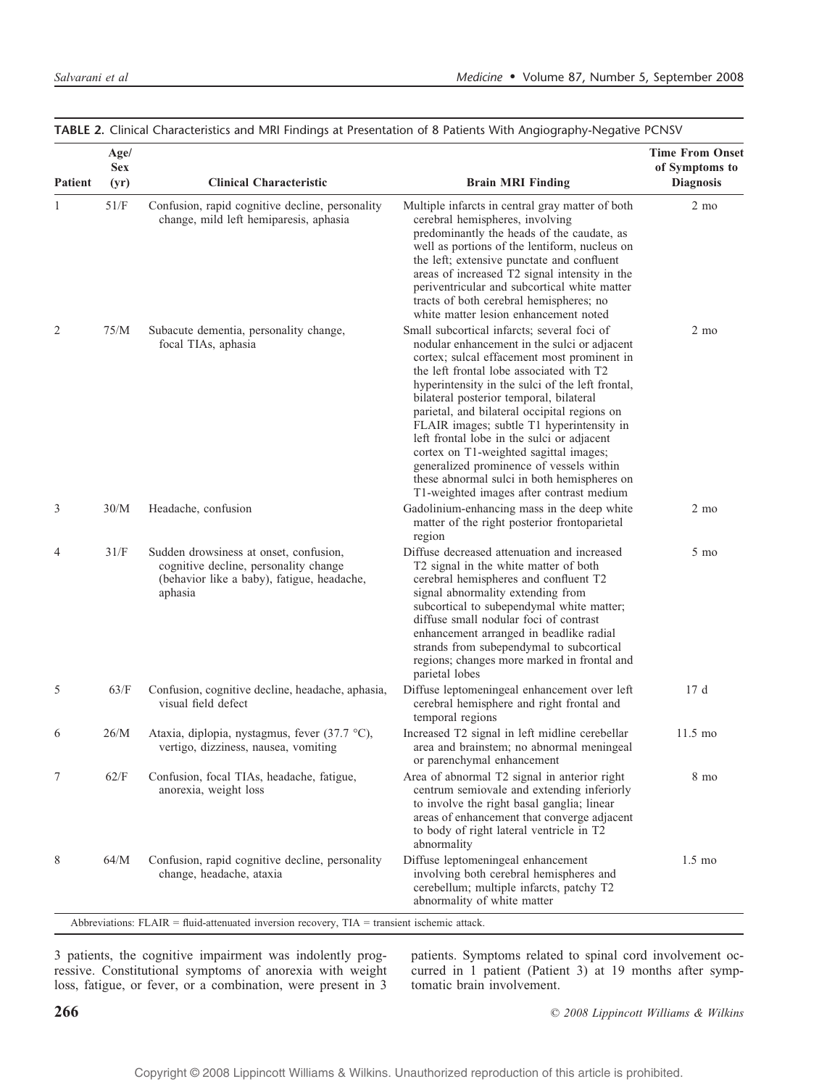| <b>Patient</b> | Age/<br><b>Sex</b><br>(yr) | <b>Clinical Characteristic</b>                                                                                                                                              | <b>Brain MRI Finding</b>                                                                                                                                                                                                                                                                                                                                                                                                                                                                                                                                                                                          | <b>Time From Onset</b><br>of Symptoms to<br><b>Diagnosis</b> |
|----------------|----------------------------|-----------------------------------------------------------------------------------------------------------------------------------------------------------------------------|-------------------------------------------------------------------------------------------------------------------------------------------------------------------------------------------------------------------------------------------------------------------------------------------------------------------------------------------------------------------------------------------------------------------------------------------------------------------------------------------------------------------------------------------------------------------------------------------------------------------|--------------------------------------------------------------|
| 1              | 51/F                       | Confusion, rapid cognitive decline, personality<br>change, mild left hemiparesis, aphasia                                                                                   | Multiple infarcts in central gray matter of both<br>cerebral hemispheres, involving<br>predominantly the heads of the caudate, as<br>well as portions of the lentiform, nucleus on<br>the left; extensive punctate and confluent<br>areas of increased T2 signal intensity in the<br>periventricular and subcortical white matter<br>tracts of both cerebral hemispheres; no<br>white matter lesion enhancement noted                                                                                                                                                                                             | $2 \text{ mo}$                                               |
| 2              | 75/M                       | Subacute dementia, personality change,<br>focal TIAs, aphasia                                                                                                               | Small subcortical infarcts; several foci of<br>nodular enhancement in the sulci or adjacent<br>cortex; sulcal effacement most prominent in<br>the left frontal lobe associated with T2<br>hyperintensity in the sulci of the left frontal,<br>bilateral posterior temporal, bilateral<br>parietal, and bilateral occipital regions on<br>FLAIR images; subtle T1 hyperintensity in<br>left frontal lobe in the sulci or adjacent<br>cortex on T1-weighted sagittal images;<br>generalized prominence of vessels within<br>these abnormal sulci in both hemispheres on<br>T1-weighted images after contrast medium | $2 \text{ mo}$                                               |
| 3              | 30/M                       | Headache, confusion                                                                                                                                                         | Gadolinium-enhancing mass in the deep white<br>matter of the right posterior frontoparietal<br>region                                                                                                                                                                                                                                                                                                                                                                                                                                                                                                             | $2 \text{ mo}$                                               |
| 4              | 31/F                       | Sudden drowsiness at onset, confusion,<br>cognitive decline, personality change<br>(behavior like a baby), fatigue, headache,<br>aphasia                                    | Diffuse decreased attenuation and increased<br>T2 signal in the white matter of both<br>cerebral hemispheres and confluent T2<br>signal abnormality extending from<br>subcortical to subependymal white matter;<br>diffuse small nodular foci of contrast<br>enhancement arranged in beadlike radial<br>strands from subependymal to subcortical<br>regions; changes more marked in frontal and<br>parietal lobes                                                                                                                                                                                                 | 5 mo                                                         |
| 5              | 63/F                       | Confusion, cognitive decline, headache, aphasia,<br>visual field defect                                                                                                     | Diffuse leptomeningeal enhancement over left<br>cerebral hemisphere and right frontal and<br>temporal regions                                                                                                                                                                                                                                                                                                                                                                                                                                                                                                     | 17d                                                          |
| 6              | 26/M                       | Ataxia, diplopia, nystagmus, fever (37.7 °C),<br>vertigo, dizziness, nausea, vomiting                                                                                       | Increased T2 signal in left midline cerebellar<br>area and brainstem; no abnormal meningeal<br>or parenchymal enhancement                                                                                                                                                                                                                                                                                                                                                                                                                                                                                         | $11.5 \text{ mo}$                                            |
| 7              | 62/F                       | Confusion, focal TIAs, headache, fatigue,<br>anorexia, weight loss                                                                                                          | Area of abnormal T2 signal in anterior right<br>centrum semiovale and extending inferiorly<br>to involve the right basal ganglia; linear<br>areas of enhancement that converge adjacent<br>to body of right lateral ventricle in T2<br>abnormality                                                                                                                                                                                                                                                                                                                                                                | 8 mo                                                         |
| 8              | 64/M                       | Confusion, rapid cognitive decline, personality<br>change, headache, ataxia<br>Abbreviations: FLAIR = fluid-attenuated inversion recovery, TIA = transient ischemic attack. | Diffuse leptomeningeal enhancement<br>involving both cerebral hemispheres and<br>cerebellum; multiple infarcts, patchy T2<br>abnormality of white matter                                                                                                                                                                                                                                                                                                                                                                                                                                                          | $1.5 \text{ mo}$                                             |

TABLE 2. Clinical Characteristics and MRI Findings at Presentation of 8 Patients With Angiography-Negative PCNSV

3 patients, the cognitive impairment was indolently progressive. Constitutional symptoms of anorexia with weight loss, fatigue, or fever, or a combination, were present in 3

patients. Symptoms related to spinal cord involvement occurred in 1 patient (Patient 3) at 19 months after symptomatic brain involvement.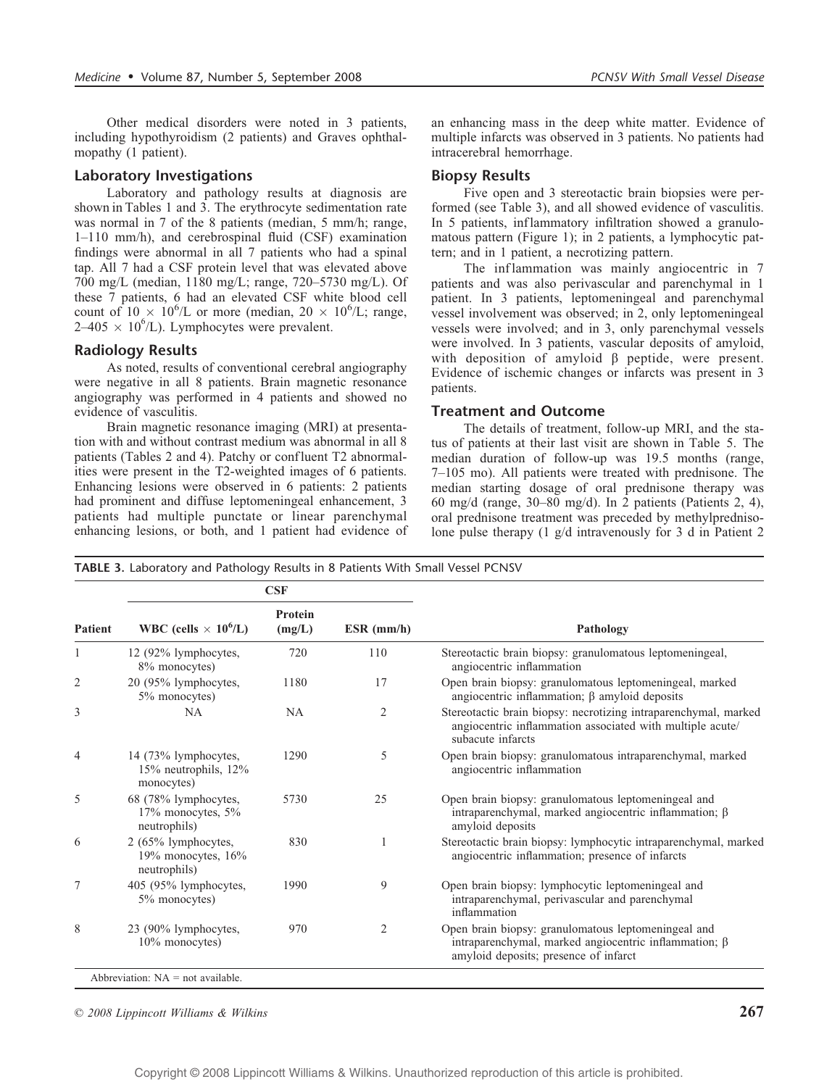Other medical disorders were noted in 3 patients, including hypothyroidism (2 patients) and Graves ophthalmopathy (1 patient).

#### Laboratory Investigations

Laboratory and pathology results at diagnosis are shown in Tables 1 and 3. The erythrocyte sedimentation rate was normal in 7 of the 8 patients (median, 5 mm/h; range, 1-110 mm/h), and cerebrospinal fluid (CSF) examination findings were abnormal in all 7 patients who had a spinal tap. All 7 had a CSF protein level that was elevated above 700 mg/L (median, 1180 mg/L; range, 720–5730 mg/L). Of these 7 patients, 6 had an elevated CSF white blood cell count of  $10 \times 10^6$ /L or more (median,  $20 \times 10^6$ /L; range,  $2-405 \times 10^{6}$ /L). Lymphocytes were prevalent.

#### Radiology Results

As noted, results of conventional cerebral angiography were negative in all 8 patients. Brain magnetic resonance angiography was performed in 4 patients and showed no evidence of vasculitis.

Brain magnetic resonance imaging (MRI) at presentation with and without contrast medium was abnormal in all 8 patients (Tables 2 and 4). Patchy or confluent T2 abnormalities were present in the T2-weighted images of 6 patients. Enhancing lesions were observed in 6 patients: 2 patients had prominent and diffuse leptomeningeal enhancement, 3 patients had multiple punctate or linear parenchymal enhancing lesions, or both, and 1 patient had evidence of an enhancing mass in the deep white matter. Evidence of multiple infarcts was observed in 3 patients. No patients had intracerebral hemorrhage.

#### Biopsy Results

Five open and 3 stereotactic brain biopsies were performed (see Table 3), and all showed evidence of vasculitis. In 5 patients, inflammatory infiltration showed a granulomatous pattern (Figure 1); in 2 patients, a lymphocytic pattern; and in 1 patient, a necrotizing pattern.

The inflammation was mainly angiocentric in 7 patients and was also perivascular and parenchymal in 1 patient. In 3 patients, leptomeningeal and parenchymal vessel involvement was observed; in 2, only leptomeningeal vessels were involved; and in 3, only parenchymal vessels were involved. In 3 patients, vascular deposits of amyloid, with deposition of amyloid  $\beta$  peptide, were present. Evidence of ischemic changes or infarcts was present in 3 patients.

#### Treatment and Outcome

The details of treatment, follow-up MRI, and the status of patients at their last visit are shown in Table 5. The median duration of follow-up was 19.5 months (range,  $7-105$  mo). All patients were treated with prednisone. The median starting dosage of oral prednisone therapy was 60 mg/d (range,  $30-80$  mg/d). In 2 patients (Patients 2, 4), oral prednisone treatment was preceded by methylprednisolone pulse therapy (1 g/d intravenously for 3 d in Patient 2

TABLE 3. Laboratory and Pathology Results in 8 Patients With Small Vessel PCNSV

| <b>Patient</b> | CSF                                                          |                   |                |                                                                                                                                                             |
|----------------|--------------------------------------------------------------|-------------------|----------------|-------------------------------------------------------------------------------------------------------------------------------------------------------------|
|                | WBC (cells $\times$ 10 <sup>6</sup> /L)                      | Protein<br>(mg/L) | $ESR$ (mm/h)   | Pathology                                                                                                                                                   |
| 1              | 12 (92% lymphocytes,<br>8% monocytes)                        | 720               | 110            | Stereotactic brain biopsy: granulomatous leptomeningeal,<br>angiocentric inflammation                                                                       |
| $\overline{2}$ | 20 (95% lymphocytes,<br>5% monocytes)                        | 1180              | 17             | Open brain biopsy: granulomatous leptomeningeal, marked<br>angiocentric inflammation; $\beta$ amyloid deposits                                              |
| 3              | <b>NA</b>                                                    | <b>NA</b>         | $\mathfrak{2}$ | Stereotactic brain biopsy: necrotizing intraparenchymal, marked<br>angiocentric inflammation associated with multiple acute/<br>subacute infarcts           |
| 4              | 14 (73% lymphocytes,<br>15% neutrophils, 12%<br>monocytes)   | 1290              | 5              | Open brain biopsy: granulomatous intraparenchymal, marked<br>angiocentric inflammation                                                                      |
| 5              | 68 (78% lymphocytes,<br>17% monocytes, 5%<br>neutrophils)    | 5730              | 25             | Open brain biopsy: granulomatous leptomeningeal and<br>intraparenchymal, marked angiocentric inflammation; $\beta$<br>amyloid deposits                      |
| 6              | 2 (65% lymphocytes,<br>19% monocytes, $16\%$<br>neutrophils) | 830               |                | Stereotactic brain biopsy: lymphocytic intraparenchymal, marked<br>angiocentric inflammation; presence of infarcts                                          |
| 7              | 405 (95% lymphocytes,<br>5% monocytes)                       | 1990              | 9              | Open brain biopsy: lymphocytic leptomeningeal and<br>intraparenchymal, perivascular and parenchymal<br>inflammation                                         |
| 8              | 23 (90% lymphocytes,<br>$10\%$ monocytes)                    | 970               | $\overline{2}$ | Open brain biopsy: granulomatous leptomeningeal and<br>intraparenchymal, marked angiocentric inflammation; $\beta$<br>amyloid deposits; presence of infarct |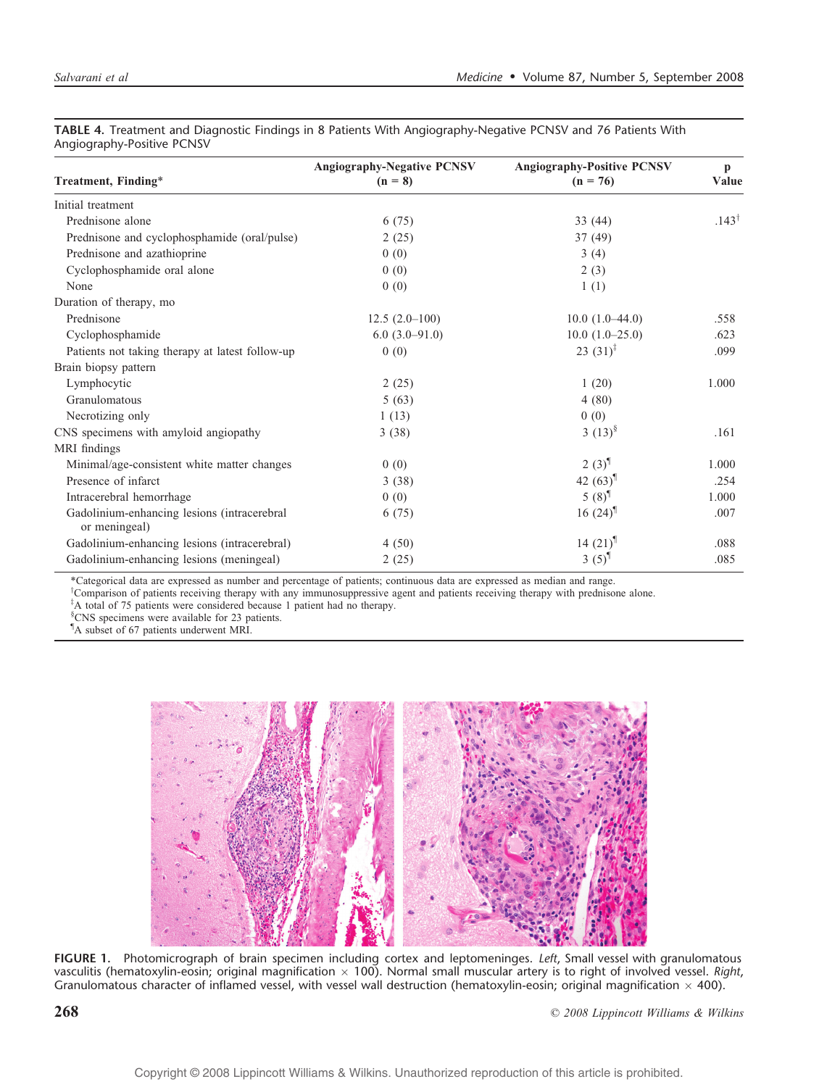| 1.41                                                         |                                                |                                                 |                       |  |
|--------------------------------------------------------------|------------------------------------------------|-------------------------------------------------|-----------------------|--|
| Treatment, Finding*                                          | <b>Angiography-Negative PCNSV</b><br>$(n = 8)$ | <b>Angiography-Positive PCNSV</b><br>$(n = 76)$ | $\mathbf{p}$<br>Value |  |
| Initial treatment                                            |                                                |                                                 |                       |  |
| Prednisone alone                                             | 6(75)                                          | 33(44)                                          | $.143^{\dagger}$      |  |
| Prednisone and cyclophosphamide (oral/pulse)                 | 2(25)                                          | 37(49)                                          |                       |  |
| Prednisone and azathioprine                                  | 0(0)                                           | 3(4)                                            |                       |  |
| Cyclophosphamide oral alone                                  | 0(0)                                           | 2(3)                                            |                       |  |
| None                                                         | 0(0)                                           | 1(1)                                            |                       |  |
| Duration of therapy, mo                                      |                                                |                                                 |                       |  |
| Prednisone                                                   | $12.5(2.0-100)$                                | $10.0(1.0-44.0)$                                | .558                  |  |
| Cyclophosphamide                                             | $6.0(3.0-91.0)$                                | $10.0(1.0-25.0)$                                | .623                  |  |
| Patients not taking therapy at latest follow-up              | 0(0)                                           | 23 $(31)^{\ddagger}$                            | .099                  |  |
| Brain biopsy pattern                                         |                                                |                                                 |                       |  |
| Lymphocytic                                                  | 2(25)                                          | 1(20)                                           | 1.000                 |  |
| Granulomatous                                                | 5(63)                                          | 4(80)                                           |                       |  |
| Necrotizing only                                             | 1(13)                                          | 0(0)                                            |                       |  |
| CNS specimens with amyloid angiopathy                        | 3(38)                                          | 3 $(13)^8$                                      | .161                  |  |
| MRI findings                                                 |                                                |                                                 |                       |  |
| Minimal/age-consistent white matter changes                  | 0(0)                                           | $2(3)^{1}$                                      | 1.000                 |  |
| Presence of infarct                                          | 3(38)                                          | 42 $(63)^{\text{th}}$                           | .254                  |  |
| Intracerebral hemorrhage                                     | 0(0)                                           | 5 $(8)^{1}$                                     | 1.000                 |  |
| Gadolinium-enhancing lesions (intracerebral<br>or meningeal) | 6(75)                                          | 16 $(24)$ <sup>¶</sup>                          | .007                  |  |
| Gadolinium-enhancing lesions (intracerebral)                 | 4(50)                                          | 14 $(21)$ <sup>1</sup>                          | .088                  |  |
| Gadolinium-enhancing lesions (meningeal)                     | 2(25)                                          | 3 $(5)^{1}$                                     | .085                  |  |

TABLE 4. Treatment and Diagnostic Findings in 8 Patients With Angiography-Negative PCNSV and 76 Patients With Angiography-Positive PCNSV

\*Categorical data are expressed as number and percentage of patients; continuous data are expressed as median and range.

<sup>†</sup>Comparison of patients receiving therapy with any immunosuppressive agent and patients receiving therapy with prednisone alone.

<sup>‡</sup>A total of 75 patients were considered because 1 patient had no therapy.

' CNS specimens were available for 23 patients.

<sup>1</sup>A subset of 67 patients underwent MRI.



FIGURE 1. Photomicrograph of brain specimen including cortex and leptomeninges. Left, Small vessel with granulomatous vasculitis (hematoxylin-eosin; original magnification  $\times$  100). Normal small muscular artery is to right of involved vessel. Right, Granulomatous character of inflamed vessel, with vessel wall destruction (hematoxylin-eosin; original magnification  $\times$  400).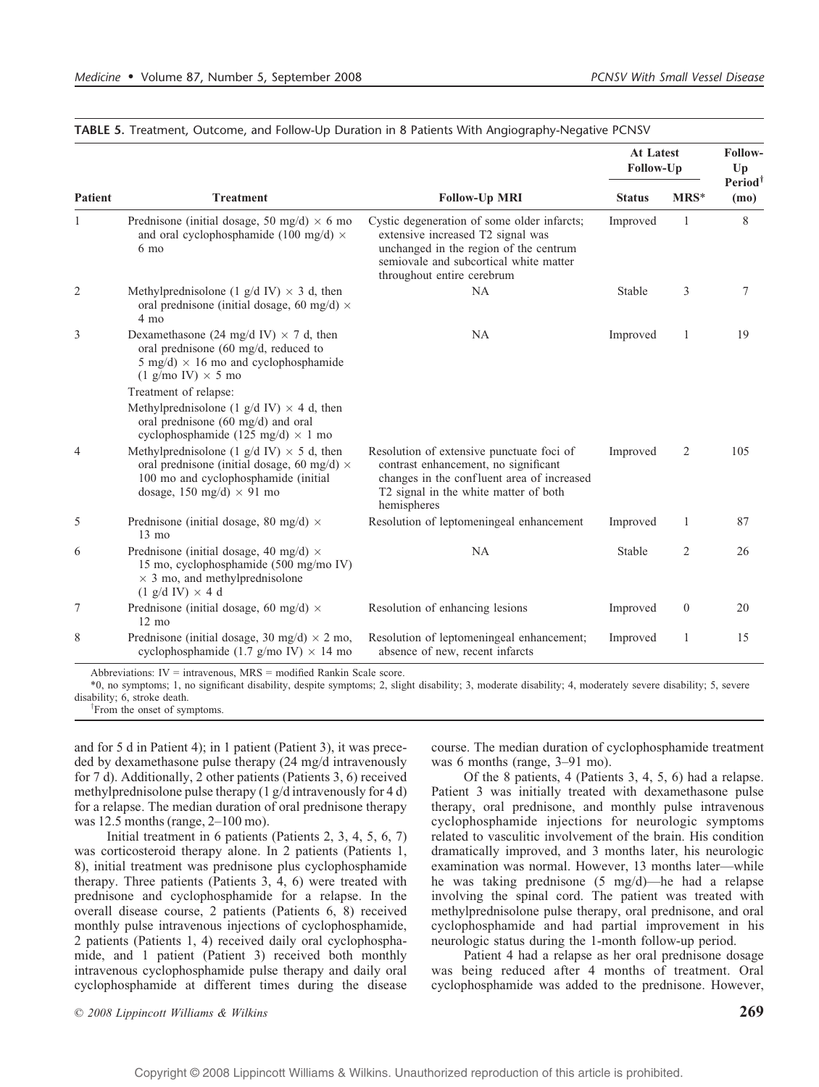| <b>Patient</b> |                                                                                                                                                                                    |                                                                                                                                                                                                    | <b>At Latest</b><br>Follow-Up |              | Follow-<br>Up               |
|----------------|------------------------------------------------------------------------------------------------------------------------------------------------------------------------------------|----------------------------------------------------------------------------------------------------------------------------------------------------------------------------------------------------|-------------------------------|--------------|-----------------------------|
|                | <b>Treatment</b>                                                                                                                                                                   | <b>Follow-Up MRI</b>                                                                                                                                                                               | <b>Status</b>                 | $MRS^*$      | Period <sup>1</sup><br>(mo) |
| $\mathbf{1}$   | Prednisone (initial dosage, 50 mg/d) $\times$ 6 mo<br>and oral cyclophosphamide (100 mg/d) $\times$<br>6 mo                                                                        | Cystic degeneration of some older infarcts;<br>extensive increased T2 signal was<br>unchanged in the region of the centrum<br>semiovale and subcortical white matter<br>throughout entire cerebrum | Improved                      | $\mathbf{1}$ | 8                           |
| 2              | Methylprednisolone (1 g/d IV) $\times$ 3 d, then<br>oral prednisone (initial dosage, 60 mg/d) $\times$<br>4 mo                                                                     | <b>NA</b>                                                                                                                                                                                          | <b>Stable</b>                 | 3            | 7                           |
| 3              | Dexamethasone (24 mg/d IV) $\times$ 7 d, then<br>oral prednisone (60 mg/d, reduced to<br>5 mg/d) $\times$ 16 mo and cyclophosphamide<br>$(1 \text{ g/mol IV}) \times 5 \text{ mo}$ | <b>NA</b>                                                                                                                                                                                          | Improved                      | $\mathbf{1}$ | 19                          |
|                | Treatment of relapse:                                                                                                                                                              |                                                                                                                                                                                                    |                               |              |                             |
|                | Methylprednisolone (1 g/d IV) $\times$ 4 d, then<br>oral prednisone (60 mg/d) and oral<br>cyclophosphamide (125 mg/d) $\times$ 1 mo                                                |                                                                                                                                                                                                    |                               |              |                             |
| $\overline{4}$ | Methylprednisolone (1 g/d IV) $\times$ 5 d, then<br>oral prednisone (initial dosage, 60 mg/d) $\times$<br>100 mo and cyclophosphamide (initial<br>dosage, 150 mg/d) $\times$ 91 mo | Resolution of extensive punctuate foci of<br>contrast enhancement, no significant<br>changes in the confluent area of increased<br>T2 signal in the white matter of both<br>hemispheres            | Improved                      | 2            | 105                         |
| 5              | Prednisone (initial dosage, 80 mg/d) $\times$<br>$13 \text{ mo}$                                                                                                                   | Resolution of leptomeningeal enhancement                                                                                                                                                           | Improved                      | $\mathbf{1}$ | 87                          |
| 6              | Prednisone (initial dosage, 40 mg/d) $\times$<br>15 mo, cyclophosphamide (500 mg/mo IV)<br>$\times$ 3 mo, and methylprednisolone<br>$(1 \text{ g/d IV}) \times 4 \text{ d}$        | <b>NA</b>                                                                                                                                                                                          | Stable                        | 2            | 26                          |
| $\tau$         | Prednisone (initial dosage, 60 mg/d) $\times$<br>$12 \text{ mo}$                                                                                                                   | Resolution of enhancing lesions                                                                                                                                                                    | Improved                      | $\mathbf{0}$ | 20                          |
| 8              | Prednisone (initial dosage, 30 mg/d) $\times$ 2 mo,<br>cyclophosphamide (1.7 g/mo IV) $\times$ 14 mo                                                                               | Resolution of leptomeningeal enhancement;<br>absence of new, recent infarcts                                                                                                                       | Improved                      | 1            | 15                          |

#### TABLE 5. Treatment, Outcome, and Follow-Up Duration in 8 Patients With Angiography-Negative PCNSV

Abbreviations: IV = intravenous, MRS = modified Rankin Scale score.

\*0, no symptoms; 1, no significant disability, despite symptoms; 2, slight disability; 3, moderate disability; 4, moderately severe disability; 5, severe disability; 6, stroke death.

From the onset of symptoms.

and for 5 d in Patient 4); in 1 patient (Patient 3), it was preceded by dexamethasone pulse therapy (24 mg/d intravenously for 7 d). Additionally, 2 other patients (Patients 3, 6) received methylprednisolone pulse therapy (1 g/d intravenously for 4 d) for a relapse. The median duration of oral prednisone therapy was  $12.5$  months (range,  $2-100$  mo).

Initial treatment in 6 patients (Patients 2, 3, 4, 5, 6, 7) was corticosteroid therapy alone. In 2 patients (Patients 1, 8), initial treatment was prednisone plus cyclophosphamide therapy. Three patients (Patients 3, 4, 6) were treated with prednisone and cyclophosphamide for a relapse. In the overall disease course, 2 patients (Patients 6, 8) received monthly pulse intravenous injections of cyclophosphamide, 2 patients (Patients 1, 4) received daily oral cyclophosphamide, and 1 patient (Patient 3) received both monthly intravenous cyclophosphamide pulse therapy and daily oral cyclophosphamide at different times during the disease course. The median duration of cyclophosphamide treatment was 6 months (range,  $3-91$  mo).

Of the 8 patients, 4 (Patients 3, 4, 5, 6) had a relapse. Patient 3 was initially treated with dexamethasone pulse therapy, oral prednisone, and monthly pulse intravenous cyclophosphamide injections for neurologic symptoms related to vasculitic involvement of the brain. His condition dramatically improved, and 3 months later, his neurologic examination was normal. However, 13 months later-while he was taking prednisone  $(5 \text{ mg/d})$ —he had a relapse involving the spinal cord. The patient was treated with methylprednisolone pulse therapy, oral prednisone, and oral cyclophosphamide and had partial improvement in his neurologic status during the 1-month follow-up period.

Patient 4 had a relapse as her oral prednisone dosage was being reduced after 4 months of treatment. Oral cyclophosphamide was added to the prednisone. However,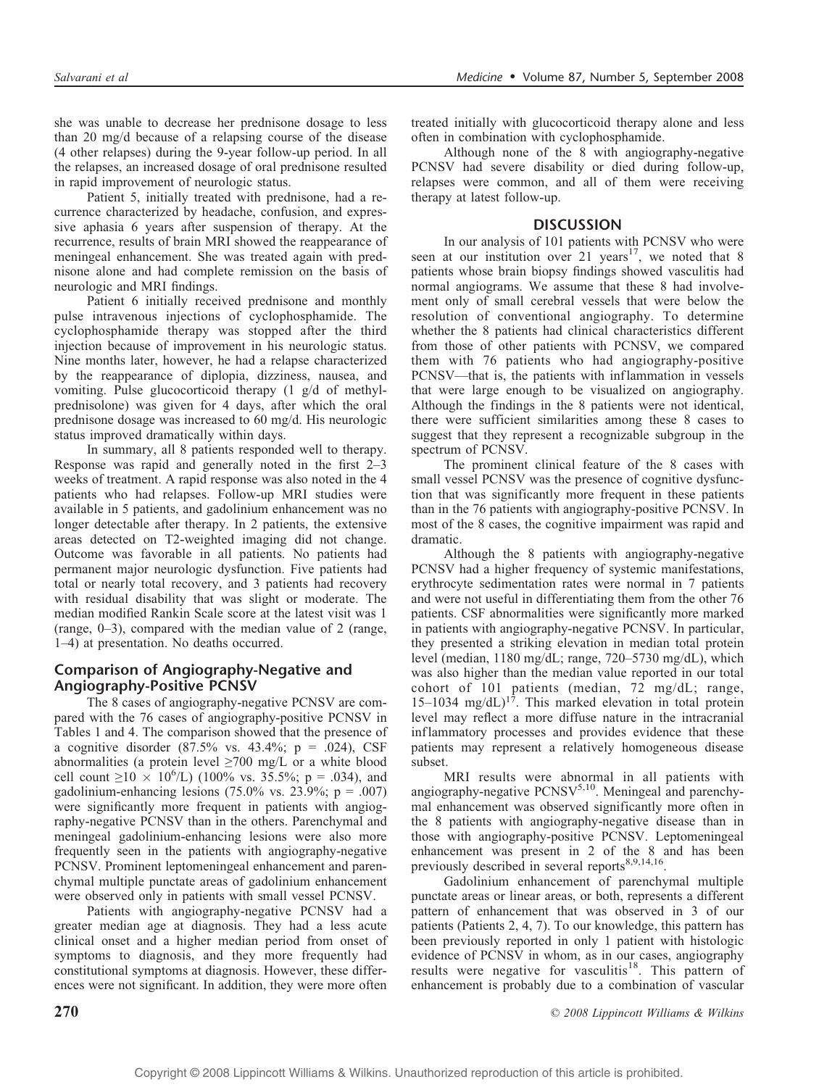she was unable to decrease her prednisone dosage to less than 20 mg/d because of a relapsing course of the disease (4 other relapses) during the 9-year follow-up period. In all the relapses, an increased dosage of oral prednisone resulted in rapid improvement of neurologic status.

Patient 5, initially treated with prednisone, had a recurrence characterized by headache, confusion, and expressive aphasia 6 years after suspension of therapy. At the recurrence, results of brain MRI showed the reappearance of meningeal enhancement. She was treated again with prednisone alone and had complete remission on the basis of neurologic and MRI findings.

Patient 6 initially received prednisone and monthly pulse intravenous injections of cyclophosphamide. The cyclophosphamide therapy was stopped after the third injection because of improvement in his neurologic status. Nine months later, however, he had a relapse characterized by the reappearance of diplopia, dizziness, nausea, and vomiting. Pulse glucocorticoid therapy (1 g/d of methylprednisolone) was given for 4 days, after which the oral prednisone dosage was increased to 60 mg/d. His neurologic status improved dramatically within days.

In summary, all 8 patients responded well to therapy. Response was rapid and generally noted in the first  $2-3$ weeks of treatment. A rapid response was also noted in the 4 patients who had relapses. Follow-up MRI studies were available in 5 patients, and gadolinium enhancement was no longer detectable after therapy. In 2 patients, the extensive areas detected on T2-weighted imaging did not change. Outcome was favorable in all patients. No patients had permanent major neurologic dysfunction. Five patients had total or nearly total recovery, and 3 patients had recovery with residual disability that was slight or moderate. The median modified Rankin Scale score at the latest visit was 1 (range,  $0-3$ ), compared with the median value of 2 (range, 1–4) at presentation. No deaths occurred.

# Comparison of Angiography-Negative and Angiography-Positive PCNSV

The 8 cases of angiography-negative PCNSV are compared with the 76 cases of angiography-positive PCNSV in Tables 1 and 4. The comparison showed that the presence of a cognitive disorder (87.5% vs. 43.4%;  $p = .024$ ), CSF abnormalities (a protein level  $\geq$ 700 mg/L or a white blood cell count  $\geq 10 \times 10^6$ /L) (100% vs. 35.5%; p = .034), and gadolinium-enhancing lesions (75.0% vs. 23.9%;  $p = .007$ ) were significantly more frequent in patients with angiography-negative PCNSV than in the others. Parenchymal and meningeal gadolinium-enhancing lesions were also more frequently seen in the patients with angiography-negative PCNSV. Prominent leptomeningeal enhancement and parenchymal multiple punctate areas of gadolinium enhancement were observed only in patients with small vessel PCNSV.

Patients with angiography-negative PCNSV had a greater median age at diagnosis. They had a less acute clinical onset and a higher median period from onset of symptoms to diagnosis, and they more frequently had constitutional symptoms at diagnosis. However, these differences were not significant. In addition, they were more often

treated initially with glucocorticoid therapy alone and less often in combination with cyclophosphamide.

Although none of the 8 with angiography-negative PCNSV had severe disability or died during follow-up, relapses were common, and all of them were receiving therapy at latest follow-up.

# **DISCUSSION**

In our analysis of 101 patients with PCNSV who were seen at our institution over 21 years<sup>17</sup>, we noted that 8 patients whose brain biopsy findings showed vasculitis had normal angiograms. We assume that these 8 had involvement only of small cerebral vessels that were below the resolution of conventional angiography. To determine whether the 8 patients had clinical characteristics different from those of other patients with PCNSV, we compared them with 76 patients who had angiography-positive PCNSV-that is, the patients with inflammation in vessels that were large enough to be visualized on angiography. Although the findings in the 8 patients were not identical, there were sufficient similarities among these 8 cases to suggest that they represent a recognizable subgroup in the spectrum of PCNSV.

The prominent clinical feature of the 8 cases with small vessel PCNSV was the presence of cognitive dysfunction that was significantly more frequent in these patients than in the 76 patients with angiography-positive PCNSV. In most of the 8 cases, the cognitive impairment was rapid and dramatic.

Although the 8 patients with angiography-negative PCNSV had a higher frequency of systemic manifestations, erythrocyte sedimentation rates were normal in 7 patients and were not useful in differentiating them from the other 76 patients. CSF abnormalities were significantly more marked in patients with angiography-negative PCNSV. In particular, they presented a striking elevation in median total protein level (median, 1180 mg/dL; range, 720–5730 mg/dL), which was also higher than the median value reported in our total cohort of 101 patients (median, 72 mg/dL; range, 15-1034 mg/dL)<sup>17</sup>. This marked elevation in total protein level may reflect a more diffuse nature in the intracranial inf lammatory processes and provides evidence that these patients may represent a relatively homogeneous disease subset.

MRI results were abnormal in all patients with angiography-negative  $PCNSV^{5,10}$ . Meningeal and parenchymal enhancement was observed significantly more often in the 8 patients with angiography-negative disease than in those with angiography-positive PCNSV. Leptomeningeal enhancement was present in 2 of the 8 and has been previously described in several reports<sup>8,9,14,16</sup>.

Gadolinium enhancement of parenchymal multiple punctate areas or linear areas, or both, represents a different pattern of enhancement that was observed in 3 of our patients (Patients 2, 4, 7). To our knowledge, this pattern has been previously reported in only 1 patient with histologic evidence of PCNSV in whom, as in our cases, angiography results were negative for vasculitis<sup>18</sup>. This pattern of enhancement is probably due to a combination of vascular